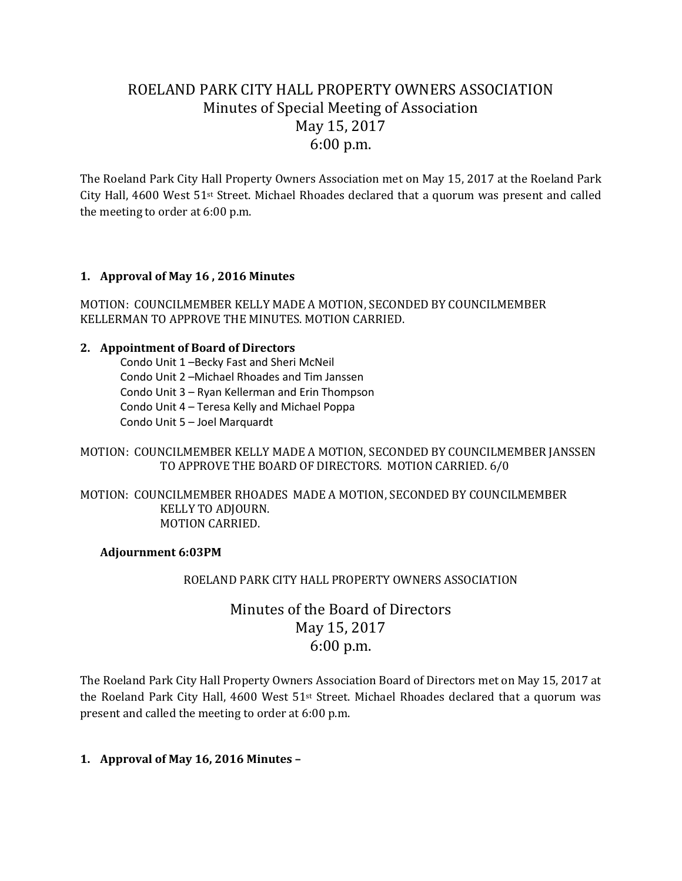# ROELAND PARK CITY HALL PROPERTY OWNERS ASSOCIATION Minutes of Special Meeting of Association May 15, 2017 6:00 p.m.

The Roeland Park City Hall Property Owners Association met on May 15, 2017 at the Roeland Park City Hall, 4600 West 51st Street. Michael Rhoades declared that a quorum was present and called the meeting to order at 6:00 p.m.

## **1. Approval of May 16 , 2016 Minutes**

MOTION: COUNCILMEMBER KELLY MADE A MOTION, SECONDED BY COUNCILMEMBER KELLERMAN TO APPROVE THE MINUTES. MOTION CARRIED.

#### **2. Appointment of Board of Directors**

Condo Unit 1 –Becky Fast and Sheri McNeil Condo Unit 2 –Michael Rhoades and Tim Janssen Condo Unit 3 – Ryan Kellerman and Erin Thompson Condo Unit 4 – Teresa Kelly and Michael Poppa Condo Unit 5 – Joel Marquardt

## MOTION: COUNCILMEMBER KELLY MADE A MOTION, SECONDED BY COUNCILMEMBER JANSSEN TO APPROVE THE BOARD OF DIRECTORS. MOTION CARRIED. 6/0

#### MOTION: COUNCILMEMBER RHOADES MADE A MOTION, SECONDED BY COUNCILMEMBER KELLY TO ADJOURN. MOTION CARRIED.

#### **Adjournment 6:03PM**

#### ROELAND PARK CITY HALL PROPERTY OWNERS ASSOCIATION

## Minutes of the Board of Directors May 15, 2017 6:00 p.m.

The Roeland Park City Hall Property Owners Association Board of Directors met on May 15, 2017 at the Roeland Park City Hall, 4600 West 51st Street. Michael Rhoades declared that a quorum was present and called the meeting to order at 6:00 p.m.

## **1. Approval of May 16, 2016 Minutes –**